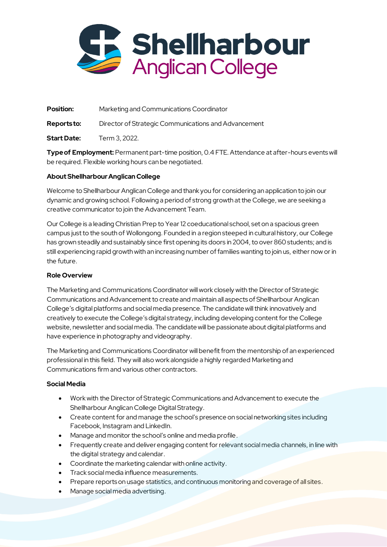

**Position:** Marketing and Communications Coordinator

**Reports to:** Director of Strategic Communications and Advancement

**Start Date:** Term 3, 2022.

**Type of Employment:** Permanent part-time position, 0.4 FTE. Attendance at after-hours events will be required. Flexible working hours can be negotiated.

## **About Shellharbour Anglican College**

Welcome to Shellharbour Anglican College and thank you for considering an application to join our dynamic and growing school. Following a period of strong growth at the College, we are seeking a creative communicator to join the Advancement Team.

Our College is a leading Christian Prep to Year 12 coeducational school, set on a spacious green campus just to the south of Wollongong. Founded in a region steeped in cultural history, our College has grown steadily and sustainably since first opening its doors in 2004, to over 860 students; and is still experiencing rapid growth with an increasing number of families wanting to join us, either now or in the future.

### **Role Overview**

The Marketing and Communications Coordinator will work closely with the Director of Strategic Communications and Advancement to create and maintain all aspects of Shellharbour Anglican College's digital platforms and social media presence. The candidate will think innovatively and creatively to execute the College's digital strategy, including developing content for the College website, newsletter and social media. The candidate will be passionate about digital platforms and have experience in photography and videography.

The Marketing and Communications Coordinator will benefit from the mentorship of an experienced professional in this field. They will also work alongside a highly regarded Marketing and Communications firm and various other contractors.

#### **Social Media**

- Work with the Director of Strategic Communications and Advancement to execute the Shellharbour Anglican College Digital Strategy.
- Create content for and manage the school's presence on social networking sites including Facebook, Instagram and LinkedIn.
- Manage and monitor the school's online and media profile.
- Frequently create and deliver engaging content for relevant social media channels, in line with the digital strategy and calendar.
- Coordinate the marketing calendar with online activity.
- Track social media influence measurements.
- Prepare reports on usage statistics, and continuous monitoring and coverage of all sites.
- Manage social media advertising.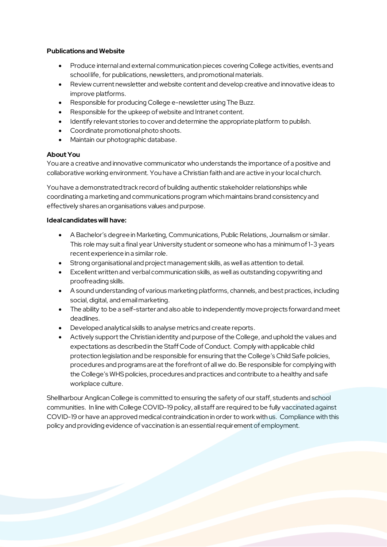#### **Publications and Website**

- Produce internal and external communication pieces covering College activities, events and school life, for publications, newsletters, and promotional materials.
- Review current newsletter and website content and develop creative and innovative ideas to improve platforms.
- Responsible for producing College e-newsletter using The Buzz.
- Responsible for the upkeep of website and Intranet content.
- Identify relevant stories to cover and determine the appropriate platform to publish.
- Coordinate promotional photo shoots.
- Maintain our photographic database.

## **About You**

You are a creative and innovative communicator who understands the importance of a positive and collaborative working environment. You have a Christian faith and are active in your local church.

You have a demonstrated track record of building authentic stakeholder relationships while coordinating a marketing and communications program which maintains brand consistency and effectively shares an organisations values and purpose.

#### **Ideal candidates will have:**

- A Bachelor's degree in Marketing, Communications, Public Relations, Journalism or similar. This role may suit a final year University student or someone who has a minimum of 1-3 years recent experience in a similar role.
- Strong organisational and project management skills, as well as attention to detail.
- Excellent written and verbal communication skills, as well as outstanding copywriting and proofreading skills.
- A sound understanding of various marketing platforms, channels, and best practices, including social, digital, and email marketing.
- The ability to be a self-starter and also able to independently move projects forward and meet deadlines.
- Developed analytical skills to analyse metrics and create reports.
- Actively support the Christian identity and purpose of the College, and uphold the values and expectations as described in the Staff Code of Conduct. Comply with applicable child protection legislation and be responsible for ensuring that the College's Child Safe policies, procedures and programs are at the forefront of all we do.Be responsible for complying with the College's WHS policies, procedures and practices and contribute to a healthy and safe workplace culture.

Shellharbour Anglican College is committed to ensuring the safety of our staff, students and school communities. In line with College COVID-19 policy, all staff are required to be fully vaccinated against COVID-19 or have an approved medical contraindication in order to work with us. Compliance with this policy and providing evidence of vaccination is an essential requirement of employment.